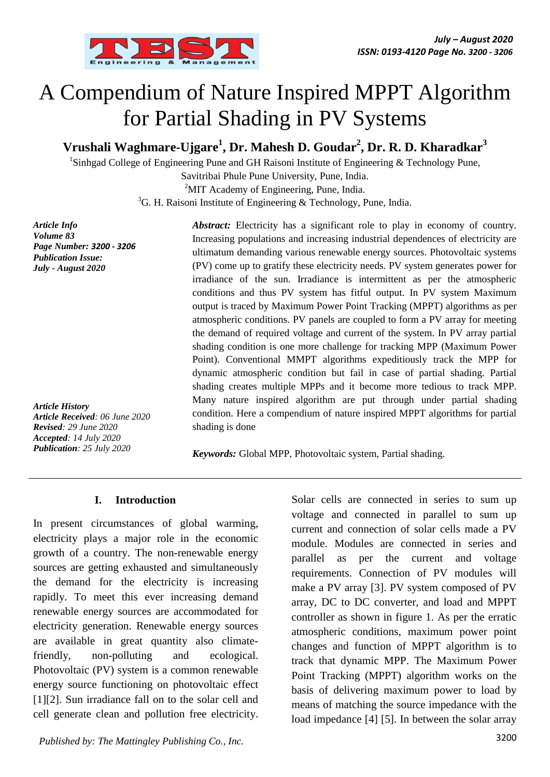

# A Compendium of Nature Inspired MPPT Algorithm for Partial Shading in PV Systems

**Vrushali Waghmare-Ujgare<sup>1</sup> , Dr. Mahesh D. Goudar<sup>2</sup> , Dr. R. D. Kharadkar<sup>3</sup>**

<sup>1</sup>Sinhgad College of [Engineering](http://www.ghriet.raisoni.net/) Pune and GH Raisoni Institute of Engineering & Technology Pune,

Savitribai Phule Pune University, Pune, India.

<sup>2</sup>MIT Academy of [Engineering,](http://www.mitaoe.ac.in/) Pune, India.

 ${}^{3}$ [G. H. Raisoni](http://www.ghriet.raisoni.net/) Institute of Engineering & Technology, Pune, India.

*Article Info Volume 83 Page Number: 3200 - 3206 Publication Issue: July - August 2020*

*Article History Article Received: 06 June 2020 Revised: 29 June 2020 Accepted: 14 July 2020 Publication: 25 July 2020*

*Abstract:* Electricity has a significant role to play in economy of country. Increasing populations and increasing industrial dependences of electricity are ultimatum demanding various renewable energy sources. Photovoltaic systems (PV) come up to gratify these electricity needs. PV system generates power for irradiance of the sun. Irradiance is intermittent as per the atmospheric conditions and thus PV system has fitful output. In PV system Maximum output is traced by Maximum Power Point Tracking (MPPT) algorithms as per atmospheric conditions. PV panels are coupled to form a PV array for meeting the demand of required voltage and current of the system. In PV array partial shading condition is one more challenge for tracking MPP (Maximum Power Point). Conventional MMPT algorithms expeditiously track the MPP for dynamic atmospheric condition but fail in case of partial shading. Partial shading creates multiple MPPs and it become more tedious to track MPP. Many nature inspired algorithm are put through under partial shading condition. Here a compendium of nature inspired MPPT algorithms for partial shading is done

*Keywords:* Global MPP, Photovoltaic system, Partial shading.

## **I. Introduction**

In present circumstances of global warming, electricity plays a major role in the economic growth of a country. The non-renewable energy sources are getting exhausted and simultaneously the demand for the electricity is increasing rapidly. To meet this ever increasing demand renewable energy sources are accommodated for electricity generation. Renewable energy sources are available in great quantity also climatefriendly, non-polluting and ecological. Photovoltaic (PV) system is a common renewable energy source functioning on photovoltaic effect [1][2]. Sun irradiance fall on to the solar cell and cell generate clean and pollution free electricity.

3200 *Published by: The Mattingley Publishing Co., Inc.*

Solar cells are connected in series to sum up voltage and connected in parallel to sum up current and connection of solar cells made a PV module. Modules are connected in series and parallel as per the current and voltage requirements. Connection of PV modules will make a PV array [3]. PV system composed of PV array, DC to DC converter, and load and MPPT controller as shown in figure 1. As per the erratic atmospheric conditions, maximum power point changes and function of MPPT algorithm is to track that dynamic MPP. The Maximum Power Point Tracking (MPPT) algorithm works on the basis of delivering maximum power to load by means of matching the source impedance with the load impedance [4] [5]. In between the solar array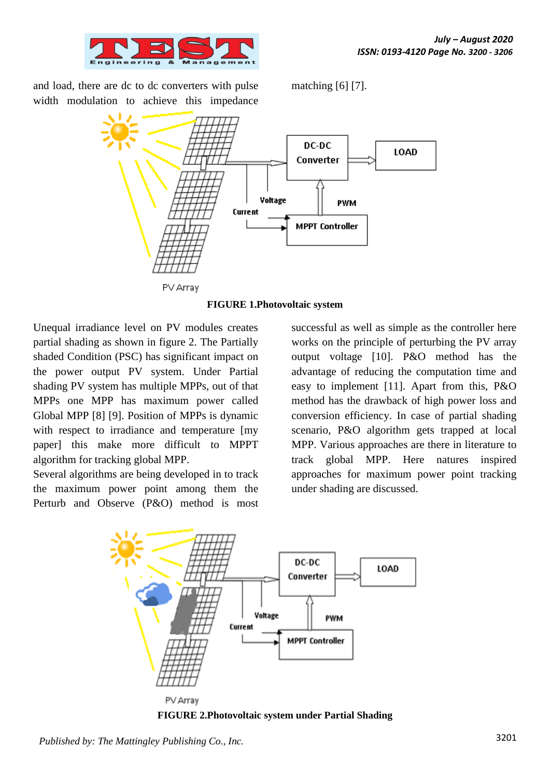

and load, there are dc to dc converters with pulse width modulation to achieve this impedance

matching [6] [7].



**FIGURE 1.Photovoltaic system**

Unequal irradiance level on PV modules creates partial shading as shown in figure 2. The Partially shaded Condition (PSC) has significant impact on the power output PV system. Under Partial shading PV system has multiple MPPs, out of that MPPs one MPP has maximum power called Global MPP [8] [9]. Position of MPPs is dynamic with respect to irradiance and temperature [my] paper] this make more difficult to MPPT algorithm for tracking global MPP.

Several algorithms are being developed in to track the maximum power point among them the Perturb and Observe (P&O) method is most

successful as well as simple as the controller here works on the principle of perturbing the PV array output voltage [10]. P&O method has the advantage of reducing the computation time and easy to implement [11]. Apart from this, P&O method has the drawback of high power loss and conversion efficiency. In case of partial shading scenario, P&O algorithm gets trapped at local MPP. Various approaches are there in literature to track global MPP. Here natures inspired approaches for maximum power point tracking under shading are discussed.



**FIGURE 2.Photovoltaic system under Partial Shading**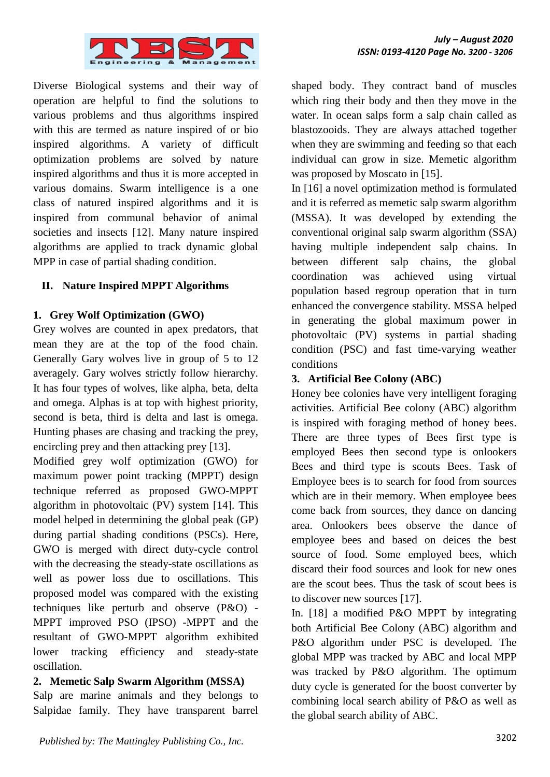

Diverse Biological systems and their way of operation are helpful to find the solutions to various problems and thus algorithms inspired with this are termed as nature inspired of or bio inspired algorithms. A variety of difficult optimization problems are solved by nature inspired algorithms and thus it is more accepted in various domains. Swarm intelligence is a one class of natured inspired algorithms and it is inspired from communal behavior of animal societies and insects [12]. Many nature inspired algorithms are applied to track dynamic global MPP in case of partial shading condition.

## **II. Nature Inspired MPPT Algorithms**

### **1. Grey Wolf Optimization (GWO)**

Grey wolves are counted in apex predators, that mean they are at the top of the food chain. Generally Gary wolves live in group of 5 to 12 averagely. Gary wolves strictly follow hierarchy. It has four types of wolves, like alpha, beta, delta and omega. Alphas is at top with highest priority, second is beta, third is delta and last is omega. Hunting phases are chasing and tracking the prey, encircling prey and then attacking prey [13].

Modified grey wolf optimization (GWO) for maximum power point tracking (MPPT) design technique referred as proposed GWO-MPPT algorithm in photovoltaic (PV) system [14]. This model helped in determining the global peak (GP) during partial shading conditions (PSCs). Here, GWO is merged with direct duty-cycle control with the decreasing the steady-state oscillations as well as power loss due to oscillations. This proposed model was compared with the existing techniques like perturb and observe (P&O) - MPPT improved PSO (IPSO) -MPPT and the resultant of GWO-MPPT algorithm exhibited lower tracking efficiency and steady-state oscillation.

### **2. Memetic Salp Swarm Algorithm (MSSA)**

Salp are marine animals and they belongs to Salpidae family. They have transparent barrel shaped body. They contract band of muscles which ring their body and then they move in the water. In ocean salps form a salp chain called as blastozooids. They are always attached together when they are swimming and feeding so that each individual can grow in size. Memetic algorithm was proposed by Moscato in [15].

In [16] a novel optimization method is formulated and it is referred as memetic salp swarm algorithm (MSSA). It was developed by extending the conventional original salp swarm algorithm (SSA) having multiple independent salp chains. In between different salp chains, the global coordination was achieved using virtual population based regroup operation that in turn enhanced the convergence stability. MSSA helped in generating the global maximum power in photovoltaic (PV) systems in partial shading condition (PSC) and fast time-varying weather conditions

## **3. Artificial Bee Colony (ABC)**

Honey bee colonies have very intelligent foraging activities. Artificial Bee colony (ABC) algorithm is inspired with foraging method of honey bees. There are three types of Bees first type is employed Bees then second type is onlookers Bees and third type is scouts Bees. Task of Employee bees is to search for food from sources which are in their memory. When employee bees come back from sources, they dance on dancing area. Onlookers bees observe the dance of employee bees and based on deices the best source of food. Some employed bees, which discard their food sources and look for new ones are the scout bees. Thus the task of scout bees is to discover new sources [17].

In. [18] a modified P&O MPPT by integrating both Artificial Bee Colony (ABC) algorithm and P&O algorithm under PSC is developed. The global MPP was tracked by ABC and local MPP was tracked by P&O algorithm. The optimum duty cycle is generated for the boost converter by combining local search ability of P&O as well as the global search ability of ABC.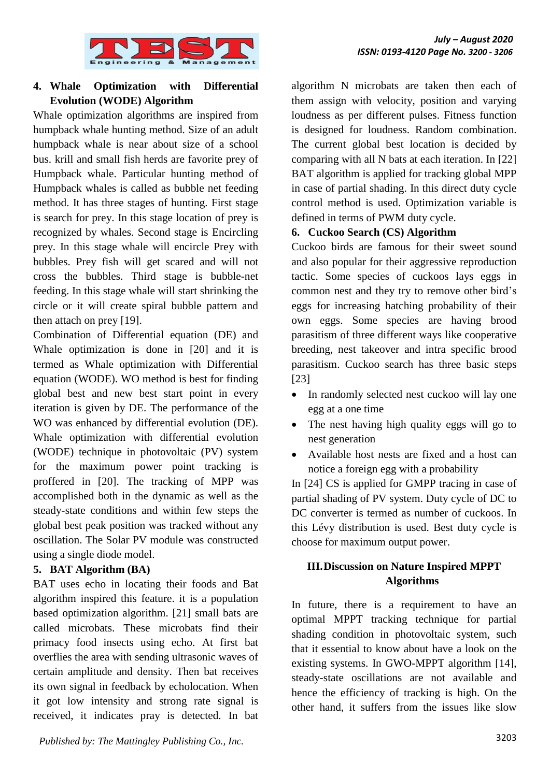

# **4. Whale Optimization with Differential Evolution (WODE) Algorithm**

Whale optimization algorithms are inspired from humpback whale hunting method. Size of an adult humpback whale is near about size of a school bus. krill and small fish herds are favorite prey of Humpback whale. Particular hunting method of Humpback whales is called as bubble net feeding method. It has three stages of hunting. First stage is search for prey. In this stage location of prey is recognized by whales. Second stage is Encircling prey. In this stage whale will encircle Prey with bubbles. Prey fish will get scared and will not cross the bubbles. Third stage is bubble-net feeding. In this stage whale will start shrinking the circle or it will create spiral bubble pattern and then attach on prey [19].

Combination of Differential equation (DE) and Whale optimization is done in [20] and it is termed as Whale optimization with Differential equation (WODE). WO method is best for finding global best and new best start point in every iteration is given by DE. The performance of the WO was enhanced by differential evolution (DE). Whale optimization with differential evolution (WODE) technique in photovoltaic (PV) system for the maximum power point tracking is proffered in [20]. The tracking of MPP was accomplished both in the dynamic as well as the steady-state conditions and within few steps the global best peak position was tracked without any oscillation. The Solar PV module was constructed using a single diode model.

### **5. BAT Algorithm (BA)**

BAT uses echo in locating their foods and Bat algorithm inspired this feature. it is a population based optimization algorithm. [21] small bats are called microbats. These microbats find their primacy food insects using echo. At first bat overflies the area with sending ultrasonic waves of certain amplitude and density. Then bat receives its own signal in feedback by echolocation. When it got low intensity and strong rate signal is received, it indicates pray is detected. In bat algorithm N microbats are taken then each of them assign with velocity, position and varying loudness as per different pulses. Fitness function is designed for loudness. Random combination. The current global best location is decided by comparing with all N bats at each iteration. In [22] BAT algorithm is applied for tracking global MPP in case of partial shading. In this direct duty cycle control method is used. Optimization variable is defined in terms of PWM duty cycle.

## **6. Cuckoo Search (CS) Algorithm**

Cuckoo birds are famous for their sweet sound and also popular for their aggressive reproduction tactic. Some species of cuckoos lays eggs in common nest and they try to remove other bird's eggs for increasing hatching probability of their own eggs. Some species are having brood parasitism of three different ways like cooperative breeding, nest takeover and intra specific brood parasitism. Cuckoo search has three basic steps [23]

- In randomly selected nest cuckoo will lay one egg at a one time
- The nest having high quality eggs will go to nest generation
- Available host nests are fixed and a host can notice a foreign egg with a probability

In [24] CS is applied for GMPP tracing in case of partial shading of PV system. Duty cycle of DC to DC converter is termed as number of cuckoos. In this Lévy distribution is used. Best duty cycle is choose for maximum output power.

# **III.Discussion on Nature Inspired MPPT Algorithms**

In future, there is a requirement to have an optimal MPPT tracking technique for partial shading condition in photovoltaic system, such that it essential to know about have a look on the existing systems. In GWO-MPPT algorithm [14], steady-state oscillations are not available and hence the efficiency of tracking is high. On the other hand, it suffers from the issues like slow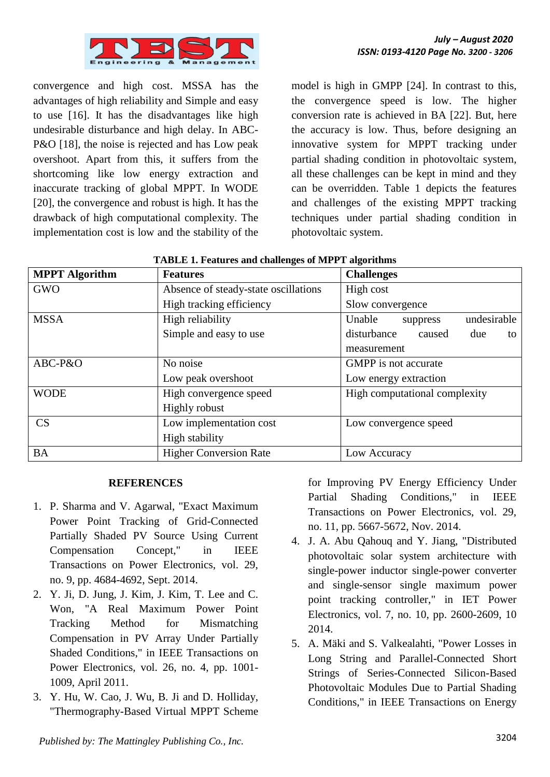convergence and high cost. MSSA has the advantages of high reliability and Simple and easy to use [16]. It has the disadvantages like high undesirable disturbance and high delay. In ABC-P&O [18], the noise is rejected and has Low peak overshoot. Apart from this, it suffers from the shortcoming like low energy extraction and inaccurate tracking of global MPPT. In WODE [20], the convergence and robust is high. It has the drawback of high computational complexity. The implementation cost is low and the stability of the model is high in GMPP [24]. In contrast to this, the convergence speed is low. The higher conversion rate is achieved in BA [22]. But, here the accuracy is low. Thus, before designing an innovative system for MPPT tracking under partial shading condition in photovoltaic system, all these challenges can be kept in mind and they can be overridden. Table 1 depicts the features and challenges of the existing MPPT tracking techniques under partial shading condition in photovoltaic system.

| <b>MPPT</b> Algorithm | <b>Features</b>                      | <b>Challenges</b>                  |  |  |
|-----------------------|--------------------------------------|------------------------------------|--|--|
| <b>GWO</b>            | Absence of steady-state oscillations | High cost                          |  |  |
|                       | High tracking efficiency             | Slow convergence                   |  |  |
| <b>MSSA</b>           | High reliability                     | undesirable<br>Unable<br>suppress  |  |  |
|                       | Simple and easy to use               | disturbance<br>caused<br>due<br>to |  |  |
|                       |                                      | measurement                        |  |  |
| ABC-P&O               | No noise                             | <b>GMPP</b> is not accurate        |  |  |
|                       | Low peak overshoot                   | Low energy extraction              |  |  |
| <b>WODE</b>           | High convergence speed               | High computational complexity      |  |  |
|                       | <b>Highly robust</b>                 |                                    |  |  |
| CS                    | Low implementation cost              | Low convergence speed              |  |  |
|                       | High stability                       |                                    |  |  |
| <b>BA</b>             | <b>Higher Conversion Rate</b>        | Low Accuracy                       |  |  |

| <b>TABLE 1. Features and challenges of MPPT algorithms</b> |  |  |
|------------------------------------------------------------|--|--|
|                                                            |  |  |

### **REFERENCES**

- 1. P. Sharma and V. Agarwal, "Exact Maximum Power Point Tracking of Grid-Connected Partially Shaded PV Source Using Current Compensation Concept," in IEEE Transactions on Power Electronics, vol. 29, no. 9, pp. 4684-4692, Sept. 2014.
- 2. Y. Ji, D. Jung, J. Kim, J. Kim, T. Lee and C. Won, "A Real Maximum Power Point Tracking Method for Mismatching Compensation in PV Array Under Partially Shaded Conditions," in IEEE Transactions on Power Electronics, vol. 26, no. 4, pp. 1001- 1009, April 2011.
- 3. Y. Hu, W. Cao, J. Wu, B. Ji and D. Holliday, "Thermography-Based Virtual MPPT Scheme

for Improving PV Energy Efficiency Under Partial Shading Conditions," in IEEE Transactions on Power Electronics, vol. 29, no. 11, pp. 5667-5672, Nov. 2014.

- 4. J. A. Abu Qahouq and Y. Jiang, "Distributed photovoltaic solar system architecture with single-power inductor single-power converter and single-sensor single maximum power point tracking controller," in IET Power Electronics, vol. 7, no. 10, pp. 2600-2609, 10 2014.
- 5. A. Mäki and S. Valkealahti, "Power Losses in Long String and Parallel-Connected Short Strings of Series-Connected Silicon-Based Photovoltaic Modules Due to Partial Shading Conditions," in IEEE Transactions on Energy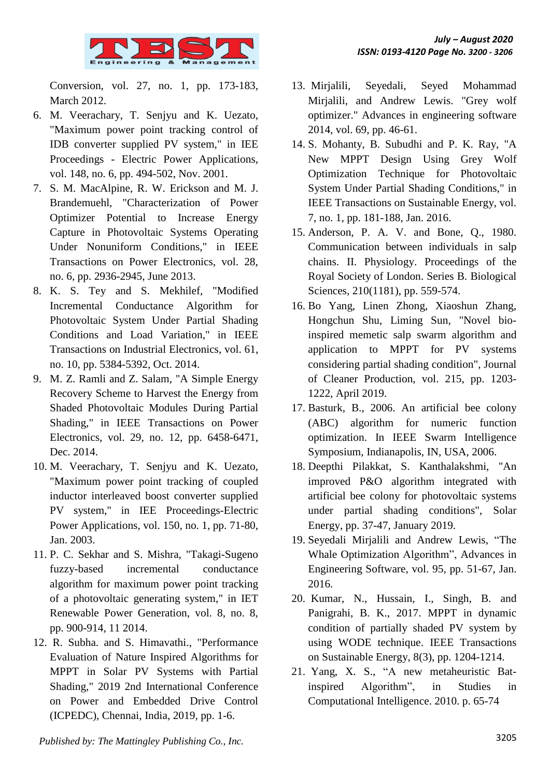

Conversion, vol. 27, no. 1, pp. 173-183, March 2012.

- 6. M. Veerachary, T. Senjyu and K. Uezato, "Maximum power point tracking control of IDB converter supplied PV system," in IEE Proceedings - Electric Power Applications, vol. 148, no. 6, pp. 494-502, Nov. 2001.
- 7. S. M. MacAlpine, R. W. Erickson and M. J. Brandemuehl, "Characterization of Power Optimizer Potential to Increase Energy Capture in Photovoltaic Systems Operating Under Nonuniform Conditions," in IEEE Transactions on Power Electronics, vol. 28, no. 6, pp. 2936-2945, June 2013.
- 8. K. S. Tey and S. Mekhilef, "Modified Incremental Conductance Algorithm for Photovoltaic System Under Partial Shading Conditions and Load Variation," in IEEE Transactions on Industrial Electronics, vol. 61, no. 10, pp. 5384-5392, Oct. 2014.
- 9. M. Z. Ramli and Z. Salam, "A Simple Energy Recovery Scheme to Harvest the Energy from Shaded Photovoltaic Modules During Partial Shading," in IEEE Transactions on Power Electronics, vol. 29, no. 12, pp. 6458-6471, Dec. 2014.
- 10. M. Veerachary, T. Senjyu and K. Uezato, "Maximum power point tracking of coupled inductor interleaved boost converter supplied PV system," in IEE Proceedings-Electric Power Applications, vol. 150, no. 1, pp. 71-80, Jan. 2003.
- 11. P. C. Sekhar and S. Mishra, "Takagi-Sugeno fuzzy-based incremental conductance algorithm for maximum power point tracking of a photovoltaic generating system," in IET Renewable Power Generation, vol. 8, no. 8, pp. 900-914, 11 2014.
- 12. R. Subha. and S. Himavathi., "Performance Evaluation of Nature Inspired Algorithms for MPPT in Solar PV Systems with Partial Shading," 2019 2nd International Conference on Power and Embedded Drive Control (ICPEDC), Chennai, India, 2019, pp. 1-6.
- 13. Mirjalili, Seyedali, Seyed Mohammad Mirjalili, and Andrew Lewis. "Grey wolf optimizer." Advances in engineering software 2014, vol. 69, pp. 46-61.
- 14. S. Mohanty, B. Subudhi and P. K. Ray, "A New MPPT Design Using Grey Wolf Optimization Technique for Photovoltaic System Under Partial Shading Conditions," in IEEE Transactions on Sustainable Energy, vol. 7, no. 1, pp. 181-188, Jan. 2016.
- 15. Anderson, P. A. V. and Bone, Q., 1980. Communication between individuals in salp chains. II. Physiology. Proceedings of the Royal Society of London. Series B. Biological Sciences, 210(1181), pp. 559-574.
- 16. Bo Yang, Linen Zhong, Xiaoshun Zhang, Hongchun Shu, Liming Sun, "Novel bioinspired memetic salp swarm algorithm and application to MPPT for PV systems considering partial shading condition", Journal of Cleaner Production, vol. 215, pp. 1203- 1222, April 2019.
- 17. Basturk, B., 2006. An artificial bee colony (ABC) algorithm for numeric function optimization. In IEEE Swarm Intelligence Symposium, Indianapolis, IN, USA, 2006.
- 18. Deepthi Pilakkat, S. Kanthalakshmi, "An improved P&O algorithm integrated with artificial bee colony for photovoltaic systems under partial shading conditions", Solar Energy, pp. 37-47, January 2019.
- 19. Seyedali Mirjalili and Andrew Lewis, "The Whale Optimization Algorithm", Advances in Engineering Software, vol. 95, pp. 51-67, Jan. 2016.
- 20. Kumar, N., Hussain, I., Singh, B. and Panigrahi, B. K., 2017. MPPT in dynamic condition of partially shaded PV system by using WODE technique. IEEE Transactions on Sustainable Energy, 8(3), pp. 1204-1214.
- 21. Yang, X. S., "A new metaheuristic Batinspired Algorithm", in Studies in Computational Intelligence. 2010. p. 65-74